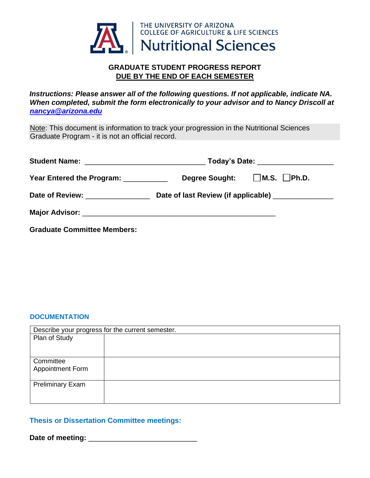

## **GRADUATE STUDENT PROGRESS REPORT DUE BY THE END OF EACH SEMESTER**

*Instructions: Please answer all of the following questions. If not applicable, indicate NA. When completed, submit the form electronically to your advisor and to Nancy Driscoll at nancya@arizona.edu* 

Note: This document is information to track your progression in the Nutritional Sciences Graduate Program - it is not an official record.

| Year Entered the Program: __________ |  | Degree Sought: M.S. Ph.D.                            |  |
|--------------------------------------|--|------------------------------------------------------|--|
| Date of Review: _______________      |  | Date of last Review (if applicable) ________________ |  |
|                                      |  |                                                      |  |
| <b>Graduate Committee Members:</b>   |  |                                                      |  |

#### **DOCUMENTATION**

| Describe your progress for the current semester. |  |  |
|--------------------------------------------------|--|--|
| Plan of Study                                    |  |  |
|                                                  |  |  |
| Committee                                        |  |  |
| <b>Appointment Form</b>                          |  |  |
| <b>Preliminary Exam</b>                          |  |  |
|                                                  |  |  |
|                                                  |  |  |

## **Thesis or Dissertation Committee meetings:**

**Date of meeting:** \_\_\_\_\_\_\_\_\_\_\_\_\_\_\_\_\_\_\_\_\_\_\_\_\_\_\_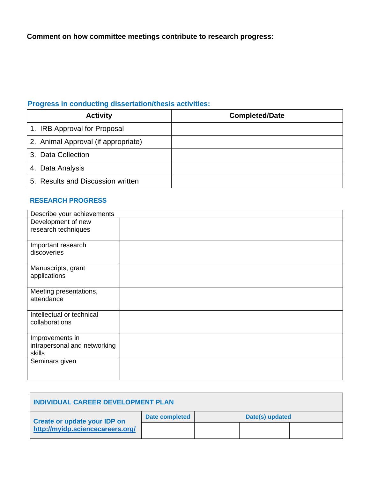**Comment on how committee meetings contribute to research progress:** 

# **Progress in conducting dissertation/thesis activities:**

| <b>Activity</b>                     | <b>Completed/Date</b> |
|-------------------------------------|-----------------------|
| 1. IRB Approval for Proposal        |                       |
| 2. Animal Approval (if appropriate) |                       |
| 3. Data Collection                  |                       |
| 4. Data Analysis                    |                       |
| 5. Results and Discussion written   |                       |

## **RESEARCH PROGRESS**

| Describe your achievements   |  |
|------------------------------|--|
| Development of new           |  |
| research techniques          |  |
|                              |  |
| Important research           |  |
| discoveries                  |  |
|                              |  |
| Manuscripts, grant           |  |
| applications                 |  |
|                              |  |
| Meeting presentations,       |  |
| attendance                   |  |
|                              |  |
| Intellectual or technical    |  |
| collaborations               |  |
|                              |  |
| Improvements in              |  |
| intrapersonal and networking |  |
| skills                       |  |
| Seminars given               |  |
|                              |  |
|                              |  |

| <b>INDIVIDUAL CAREER DEVELOPMENT PLAN</b>                               |                |                 |  |  |
|-------------------------------------------------------------------------|----------------|-----------------|--|--|
| <b>Create or update your IDP on</b><br>http://myidp.sciencecareers.org/ | Date completed | Date(s) updated |  |  |
|                                                                         |                |                 |  |  |